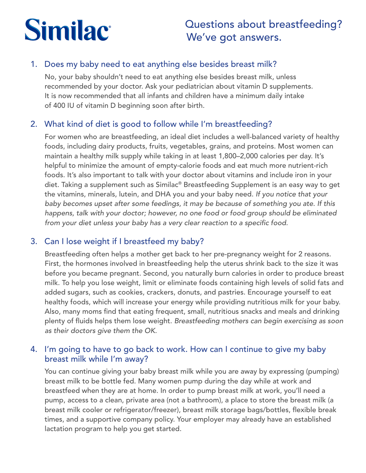# **Similac**

## Questions about breastfeeding? We've got answers.

### 1. Does my baby need to eat anything else besides breast milk?

No, your baby shouldn't need to eat anything else besides breast milk, unless recommended by your doctor. Ask your pediatrician about vitamin D supplements. It is now recommended that all infants and children have a minimum daily intake of 400 IU of vitamin D beginning soon after birth.

#### 2. What kind of diet is good to follow while I'm breastfeeding?

For women who are breastfeeding, an ideal diet includes a well-balanced variety of healthy foods, including dairy products, fruits, vegetables, grains, and proteins. Most women can maintain a healthy milk supply while taking in at least 1,800–2,000 calories per day. It's helpful to minimize the amount of empty-calorie foods and eat much more nutrient-rich foods. It's also important to talk with your doctor about vitamins and include iron in your diet. Taking a supplement such as Similac® Breastfeeding Supplement is an easy way to get the vitamins, minerals, lutein, and DHA you and your baby need. *If you notice that your baby becomes upset after some feedings, it may be because of something you ate. If this happens, talk with your doctor; however, no one food or food group should be eliminated from your diet unless your baby has a very clear reaction to a specific food.*

#### 3. Can I lose weight if I breastfeed my baby?

Breastfeeding often helps a mother get back to her pre-pregnancy weight for 2 reasons. First, the hormones involved in breastfeeding help the uterus shrink back to the size it was before you became pregnant. Second, you naturally burn calories in order to produce breast milk. To help you lose weight, limit or eliminate foods containing high levels of solid fats and added sugars, such as cookies, crackers, donuts, and pastries. Encourage yourself to eat healthy foods, which will increase your energy while providing nutritious milk for your baby. Also, many moms find that eating frequent, small, nutritious snacks and meals and drinking plenty of fluids helps them lose weight. *Breastfeeding mothers can begin exercising as soon as their doctors give them the OK.*

#### 4. I'm going to have to go back to work. How can I continue to give my baby breast milk while I'm away?

You can continue giving your baby breast milk while you are away by expressing (pumping) breast milk to be bottle fed. Many women pump during the day while at work and breastfeed when they are at home. In order to pump breast milk at work, you'll need a pump, access to a clean, private area (not a bathroom), a place to store the breast milk (a breast milk cooler or refrigerator/freezer), breast milk storage bags/bottles, flexible break times, and a supportive company policy. Your employer may already have an established lactation program to help you get started.